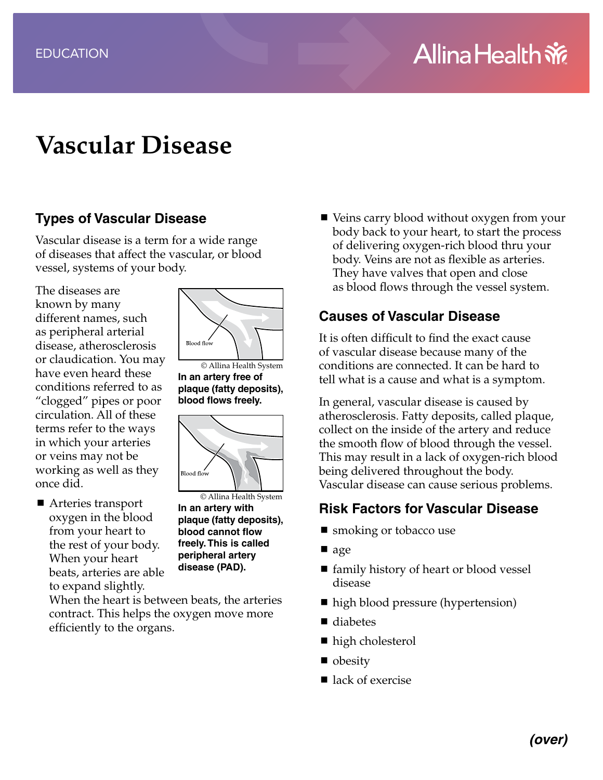# **Vascular Disease**

#### **Types of Vascular Disease**

Vascular disease is a term for a wide range of diseases that affect the vascular, or blood vessel, systems of your body.

The diseases are known by many different names, such as peripheral arterial disease, atherosclerosis or claudication. You may have even heard these conditions referred to as "clogged" pipes or poor circulation. All of these terms refer to the ways in which your arteries or veins may not be working as well as they once did.

■ Arteries transport oxygen in the blood from your heart to the rest of your body. When your heart beats, arteries are able to expand slightly.



**In an artery free of plaque (fatty deposits), blood flows freely.** © Allina Health System



**In an artery with plaque (fatty deposits), blood cannot flow freely. This is called peripheral artery disease (PAD).** © Allina Health System

When the heart is between beats, the arteries contract. This helps the oxygen move more efficiently to the organs.

■ Veins carry blood without oxygen from your body back to your heart, to start the process of delivering oxygen-rich blood thru your body. Veins are not as flexible as arteries. They have valves that open and close as blood flows through the vessel system.

#### **Causes of Vascular Disease**

It is often difficult to find the exact cause of vascular disease because many of the conditions are connected. It can be hard to tell what is a cause and what is a symptom.

In general, vascular disease is caused by atherosclerosis. Fatty deposits, called plaque, collect on the inside of the artery and reduce the smooth flow of blood through the vessel. This may result in a lack of oxygen-rich blood being delivered throughout the body. Vascular disease can cause serious problems.

## **Risk Factors for Vascular Disease**

- smoking or tobacco use
- age
- family history of heart or blood vessel disease
- high blood pressure (hypertension)
- diabetes
- high cholesterol
- obesity
- lack of exercise